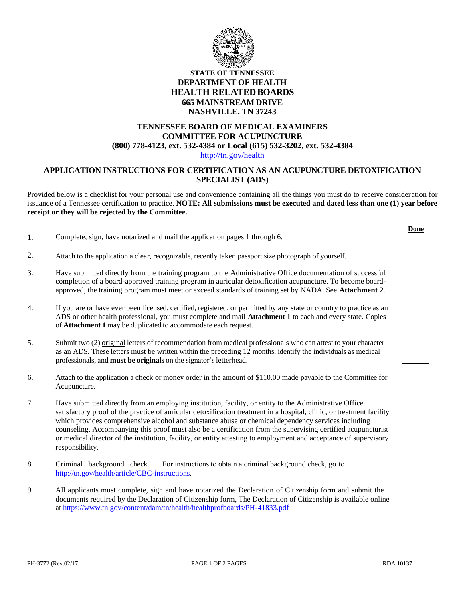

# **STATE OF TENNESSEE DEPARTMENT OF HEALTH HEALTH RELATED BOARDS 665 MAINSTREAM DRIVE NASHVILLE, TN 37243**

### **TENNESSEE BOARD OF MEDICAL EXAMINERS COMMITTEE FOR ACUPUNCTURE (800) 778-4123, ext. 532-4384 or Local (615) 532-3202, ext. 532-4384** [http://tn.gov/health](http://tn.gov/health/)

## **APPLICATION INSTRUCTIONS FOR CERTIFICATION AS AN ACUPUNCTURE DETOXIFICATION SPECIALIST (ADS)**

Provided below is a checklist for your personal use and convenience containing all the things you must do to receive consideration for issuance of a Tennessee certification to practice. **NOTE: All submissions must be executed and dated less than one (1) year before receipt or they will be rejected by the Committee.**

| 1. | Complete, sign, have notarized and mail the application pages 1 through 6.                                                                                                                                                                                                                                                                                                                                                                                                                                                                                                                      |
|----|-------------------------------------------------------------------------------------------------------------------------------------------------------------------------------------------------------------------------------------------------------------------------------------------------------------------------------------------------------------------------------------------------------------------------------------------------------------------------------------------------------------------------------------------------------------------------------------------------|
| 2. | Attach to the application a clear, recognizable, recently taken passport size photograph of yourself.                                                                                                                                                                                                                                                                                                                                                                                                                                                                                           |
| 3. | Have submitted directly from the training program to the Administrative Office documentation of successful<br>completion of a board-approved training program in auricular detoxification acupuncture. To become board-<br>approved, the training program must meet or exceed standards of training set by NADA. See Attachment 2.                                                                                                                                                                                                                                                              |
| 4. | If you are or have ever been licensed, certified, registered, or permitted by any state or country to practice as an<br>ADS or other health professional, you must complete and mail Attachment 1 to each and every state. Copies<br>of Attachment 1 may be duplicated to accommodate each request.                                                                                                                                                                                                                                                                                             |
| 5. | Submit two (2) original letters of recommendation from medical professionals who can attest to your character<br>as an ADS. These letters must be written within the preceding 12 months, identify the individuals as medical<br>professionals, and must be originals on the signator's letterhead.                                                                                                                                                                                                                                                                                             |
| 6. | Attach to the application a check or money order in the amount of \$110.00 made payable to the Committee for<br>Acupuncture.                                                                                                                                                                                                                                                                                                                                                                                                                                                                    |
| 7. | Have submitted directly from an employing institution, facility, or entity to the Administrative Office<br>satisfactory proof of the practice of auricular detoxification treatment in a hospital, clinic, or treatment facility<br>which provides comprehensive alcohol and substance abuse or chemical dependency services including<br>counseling. Accompanying this proof must also be a certification from the supervising certified acupuncturist<br>or medical director of the institution, facility, or entity attesting to employment and acceptance of supervisory<br>responsibility. |
| 8. | Criminal background check.<br>For instructions to obtain a criminal background check, go to<br>http://tn.gov/health/article/CBC-instructions.                                                                                                                                                                                                                                                                                                                                                                                                                                                   |
| 9. | All applicants must complete, sign and have notarized the Declaration of Citizenship form and submit the<br>documents required by the Declaration of Citizenship form, The Declaration of Citizenship is available online<br>at https://www.tn.gov/content/dam/tn/health/healthprofboards/PH-41833.pdf                                                                                                                                                                                                                                                                                          |

**Done**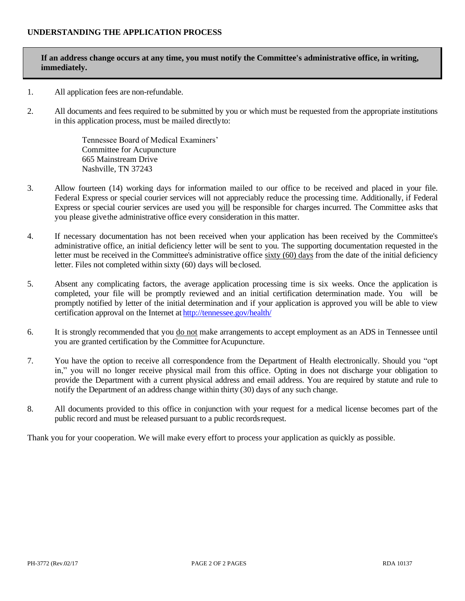# **If an address change occurs at any time, you must notify the Committee's administrative office, in writing, immediately.**

- 1. All application fees are non-refundable.
- 2. All documents and fees required to be submitted by you or which must be requested from the appropriate institutions in this application process, must be mailed directlyto:

Tennessee Board of Medical Examiners' Committee for Acupuncture 665 Mainstream Drive Nashville, TN 37243

- 3. Allow fourteen (14) working days for information mailed to our office to be received and placed in your file. Federal Express or special courier services will not appreciably reduce the processing time. Additionally, if Federal Express or special courier services are used you will be responsible for charges incurred. The Committee asks that you please givethe administrative office every consideration in this matter.
- 4. If necessary documentation has not been received when your application has been received by the Committee's administrative office, an initial deficiency letter will be sent to you. The supporting documentation requested in the letter must be received in the Committee's administrative office sixty (60) days from the date of the initial deficiency letter. Files not completed within sixty (60) days will beclosed.
- 5. Absent any complicating factors, the average application processing time is six weeks. Once the application is completed, your file will be promptly reviewed and an initial certification determination made. You will be promptly notified by letter of the initial determination and if your application is approved you will be able to view certification approval on the Internet at <http://tennessee.gov/health/>
- 6. It is strongly recommended that you do not make arrangements to accept employment as an ADS in Tennessee until you are granted certification by the Committee forAcupuncture.
- 7. You have the option to receive all correspondence from the Department of Health electronically. Should you "opt in," you will no longer receive physical mail from this office. Opting in does not discharge your obligation to provide the Department with a current physical address and email address. You are required by statute and rule to notify the Department of an address change within thirty (30) days of any such change.
- 8. All documents provided to this office in conjunction with your request for a medical license becomes part of the public record and must be released pursuant to a public records request.

Thank you for your cooperation. We will make every effort to process your application as quickly as possible.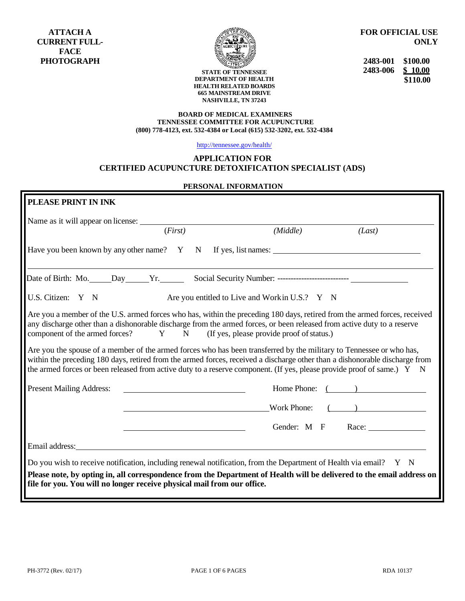

**FOR OFFICIAL USE ONLY**

**2483-001 \$100.00 2483-006 \$ 10.00 \$110.00**

**STATE OF TENNESSEE DEPARTMENT OF HEALTH HEALTH RELATED BOARDS 665 MAINSTREAM DRIVE NASHVILLE, TN 37243**

#### **BOARD OF MEDICAL EXAMINERS TENNESSEE COMMITTEE FOR ACUPUNCTURE (800) 778-4123, ext. 532-4384 or Local (615) 532-3202, ext. 532-4384**

<http://tennessee.gov/health/>

# **APPLICATION FOR**

# **CERTIFIED ACUPUNCTURE DETOXIFICATION SPECIALIST (ADS)**

### **PERSONAL INFORMATION**

| Name as it will appear on license:                                                                                      | (First)                                           | (Middle)                                                                                                                                                                                                                                                                                                                                                                                                                                                      | (Last)            |
|-------------------------------------------------------------------------------------------------------------------------|---------------------------------------------------|---------------------------------------------------------------------------------------------------------------------------------------------------------------------------------------------------------------------------------------------------------------------------------------------------------------------------------------------------------------------------------------------------------------------------------------------------------------|-------------------|
|                                                                                                                         |                                                   | Have you been known by any other name? Y N If yes, list names:                                                                                                                                                                                                                                                                                                                                                                                                |                   |
|                                                                                                                         |                                                   |                                                                                                                                                                                                                                                                                                                                                                                                                                                               |                   |
| U.S. Citizen: Y N                                                                                                       |                                                   | Are you entitled to Live and Workin U.S.? Y N                                                                                                                                                                                                                                                                                                                                                                                                                 |                   |
|                                                                                                                         |                                                   | Are you a member of the U.S. armed forces who has, within the preceding 180 days, retired from the armed forces, received                                                                                                                                                                                                                                                                                                                                     |                   |
| any discharge other than a dishonorable discharge from the armed forces, or been released from active duty to a reserve |                                                   | component of the armed forces? Y N (If yes, please provide proof of status.)<br>Are you the spouse of a member of the armed forces who has been transferred by the military to Tennessee or who has,<br>within the preceding 180 days, retired from the armed forces, received a discharge other than a dishonorable discharge from<br>the armed forces or been released from active duty to a reserve component. (If yes, please provide proof of same.) Y N |                   |
| <b>Present Mailing Address:</b>                                                                                         | <u> 1980 - Johann Barbara, martin amerikan ba</u> |                                                                                                                                                                                                                                                                                                                                                                                                                                                               | Home Phone: ( )   |
|                                                                                                                         |                                                   |                                                                                                                                                                                                                                                                                                                                                                                                                                                               | Work Phone: $($   |
|                                                                                                                         |                                                   |                                                                                                                                                                                                                                                                                                                                                                                                                                                               | Gender: M F Race: |
|                                                                                                                         |                                                   |                                                                                                                                                                                                                                                                                                                                                                                                                                                               |                   |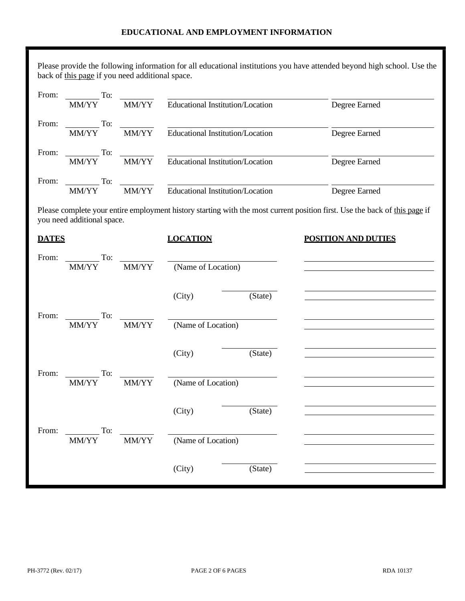## **EDUCATIONAL AND EMPLOYMENT INFORMATION**

Please provide the following information for all educational institutions you have attended beyond high school. Use the back of this page if you need additional space.

| From: | To:          |              |                                  |               |
|-------|--------------|--------------|----------------------------------|---------------|
|       | <b>MM/YY</b> | <b>MM/YY</b> | Educational Institution/Location | Degree Earned |
| From: | To:          |              |                                  |               |
|       | <b>MM/YY</b> | <b>MM/YY</b> | Educational Institution/Location | Degree Earned |
| From: | To:          |              |                                  |               |
|       | <b>MM/YY</b> | <b>MM/YY</b> | Educational Institution/Location | Degree Earned |
| From: | To:          |              |                                  |               |
|       | <b>MM/YY</b> | <b>MM/YY</b> | Educational Institution/Location | Degree Earned |

Please complete your entire employment history starting with the most current position first. Use the back of this page if you need additional space.

| <b>DATES</b>                                   |       | <b>LOCATION</b>                                                                                                                            |         | <b>POSITION AND DUTIES</b> |
|------------------------------------------------|-------|--------------------------------------------------------------------------------------------------------------------------------------------|---------|----------------------------|
| To:<br>From:<br>MM/YY                          | MM/YY | (Name of Location)                                                                                                                         |         |                            |
|                                                |       | (City)                                                                                                                                     | (State) |                            |
| $\overline{\phantom{a}}$ To:<br>From:<br>MM/YY | MM/YY | <u> Alexandria de la contrada de la contrada de la contrada de la contrada de la contrada de la contrada de la c</u><br>(Name of Location) |         |                            |
|                                                |       | (City)                                                                                                                                     | (State) |                            |
| To:<br>From:<br>MM/YY                          | MM/YY | (Name of Location)                                                                                                                         |         |                            |
|                                                |       | (City)                                                                                                                                     | (State) |                            |
| To:<br>From:<br>MM/YY                          | MM/YY | <u> a shekara ta 1999 a shekara t</u><br>(Name of Location)                                                                                |         |                            |
|                                                |       | (City)                                                                                                                                     | (State) |                            |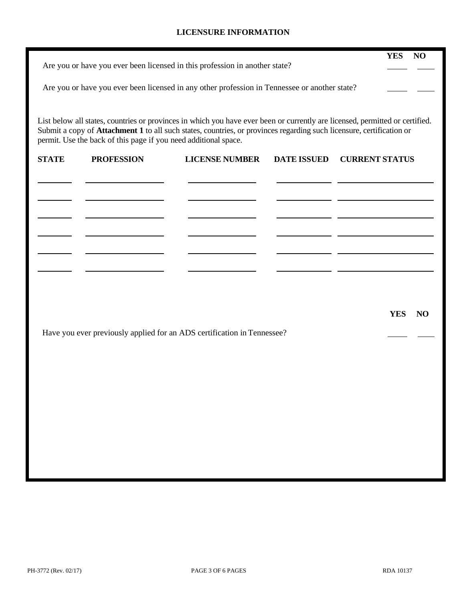## **LICENSURE INFORMATION**

|              |                                                                 | Are you or have you ever been licensed in this profession in another state?                                          |                    | <b>YES</b><br>N <sub>O</sub>                                                                                                 |
|--------------|-----------------------------------------------------------------|----------------------------------------------------------------------------------------------------------------------|--------------------|------------------------------------------------------------------------------------------------------------------------------|
|              |                                                                 |                                                                                                                      |                    |                                                                                                                              |
|              |                                                                 | Are you or have you ever been licensed in any other profession in Tennessee or another state?                        |                    |                                                                                                                              |
|              |                                                                 |                                                                                                                      |                    |                                                                                                                              |
|              | permit. Use the back of this page if you need additional space. | Submit a copy of Attachment 1 to all such states, countries, or provinces regarding such licensure, certification or |                    | List below all states, countries or provinces in which you have ever been or currently are licensed, permitted or certified. |
| <b>STATE</b> | <b>PROFESSION</b>                                               | <b>LICENSE NUMBER</b>                                                                                                | <b>DATE ISSUED</b> | <b>CURRENT STATUS</b>                                                                                                        |
|              |                                                                 |                                                                                                                      |                    |                                                                                                                              |
|              |                                                                 |                                                                                                                      |                    |                                                                                                                              |
|              |                                                                 |                                                                                                                      |                    |                                                                                                                              |
|              |                                                                 |                                                                                                                      |                    |                                                                                                                              |
|              |                                                                 |                                                                                                                      |                    |                                                                                                                              |
|              |                                                                 |                                                                                                                      |                    |                                                                                                                              |
|              |                                                                 |                                                                                                                      |                    |                                                                                                                              |
|              |                                                                 |                                                                                                                      |                    | <b>YES</b><br>N <sub>O</sub>                                                                                                 |
|              |                                                                 | Have you ever previously applied for an ADS certification in Tennessee?                                              |                    |                                                                                                                              |
|              |                                                                 |                                                                                                                      |                    |                                                                                                                              |
|              |                                                                 |                                                                                                                      |                    |                                                                                                                              |
|              |                                                                 |                                                                                                                      |                    |                                                                                                                              |
|              |                                                                 |                                                                                                                      |                    |                                                                                                                              |
|              |                                                                 |                                                                                                                      |                    |                                                                                                                              |
|              |                                                                 |                                                                                                                      |                    |                                                                                                                              |
|              |                                                                 |                                                                                                                      |                    |                                                                                                                              |
|              |                                                                 |                                                                                                                      |                    |                                                                                                                              |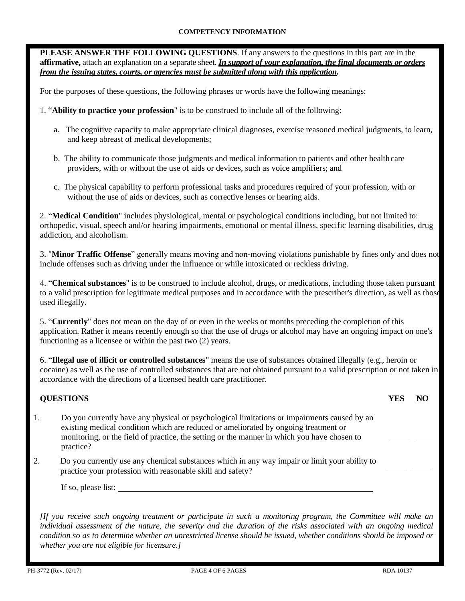## **COMPETENCY INFORMATION**

**PLEASE ANSWER THE FOLLOWING QUESTIONS**. If any answers to the questions in this part are in the **affirmative,** attach an explanation on a separate sheet. *In support of your explanation, the final documents or orders from the issuing states, courts, or agencies must be submitted along with this application***.**

For the purposes of these questions, the following phrases or words have the following meanings:

- 1. "**Ability to practice your profession**" is to be construed to include all of the following:
	- a. The cognitive capacity to make appropriate clinical diagnoses, exercise reasoned medical judgments, to learn, and keep abreast of medical developments;
	- b. The ability to communicate those judgments and medical information to patients and other health care providers, with or without the use of aids or devices, such as voice amplifiers; and
	- c. The physical capability to perform professional tasks and procedures required of your profession, with or without the use of aids or devices, such as corrective lenses or hearing aids.

2. "**Medical Condition**" includes physiological, mental or psychological conditions including, but not limited to: orthopedic, visual, speech and/or hearing impairments, emotional or mental illness, specific learning disabilities, drug addiction, and alcoholism.

3. "**Minor Traffic Offense**" generally means moving and non-moving violations punishable by fines only and does not include offenses such as driving under the influence or while intoxicated or reckless driving.

4. "**Chemical substances**" is to be construed to include alcohol, drugs, or medications, including those taken pursuant to a valid prescription for legitimate medical purposes and in accordance with the prescriber's direction, as well as those used illegally.

5. "**Currently**" does not mean on the day of or even in the weeks or months preceding the completion of this application. Rather it means recently enough so that the use of drugs or alcohol may have an ongoing impact on one's functioning as a licensee or within the past two (2) years.

6. "**Illegal use of illicit or controlled substances**" means the use of substances obtained illegally (e.g., heroin or cocaine) as well as the use of controlled substances that are not obtained pursuant to a valid prescription or not taken in accordance with the directions of a licensed health care practitioner.

## **QUESTIONS**

| <b>YES</b> | NO |
|------------|----|
|            |    |

l.

- 1. Do you currently have any physical or psychological limitations or impairments caused by an existing medical condition which are reduced or ameliorated by ongoing treatment or monitoring, or the field of practice, the setting or the manner in which you have chosen to practice?
- 2. Do you currently use any chemical substances which in any way impair or limit your ability to practice your profession with reasonable skill and safety?

If so, please list:

*[If you receive such ongoing treatment or participate in such a monitoring program, the Committee will make an individual assessment of the nature, the severity and the duration of the risks associated with an ongoing medical condition so as to determine whether an unrestricted license should be issued, whether conditions should be imposed or whether you are not eligible for licensure.]*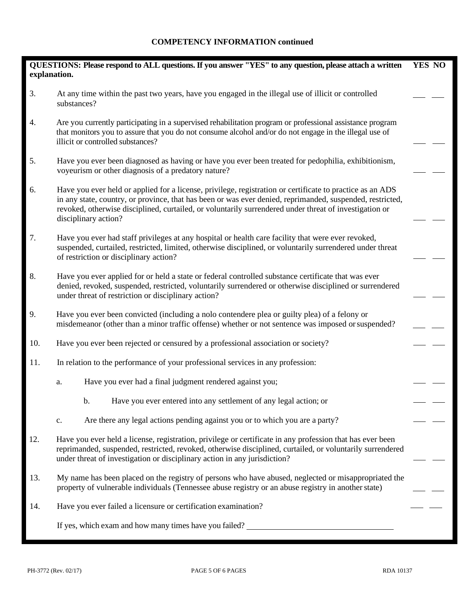# **COMPETENCY INFORMATION continued**

| explanation. | QUESTIONS: Please respond to ALL questions. If you answer "YES" to any question, please attach a written                                                                                                                                                                                                                                                 | YES NO |
|--------------|----------------------------------------------------------------------------------------------------------------------------------------------------------------------------------------------------------------------------------------------------------------------------------------------------------------------------------------------------------|--------|
| 3.           | At any time within the past two years, have you engaged in the illegal use of illicit or controlled<br>substances?                                                                                                                                                                                                                                       |        |
| 4.           | Are you currently participating in a supervised rehabilitation program or professional assistance program<br>that monitors you to assure that you do not consume alcohol and/or do not engage in the illegal use of<br>illicit or controlled substances?                                                                                                 |        |
| 5.           | Have you ever been diagnosed as having or have you ever been treated for pedophilia, exhibitionism,<br>voyeurism or other diagnosis of a predatory nature?                                                                                                                                                                                               |        |
| 6.           | Have you ever held or applied for a license, privilege, registration or certificate to practice as an ADS<br>in any state, country, or province, that has been or was ever denied, reprimanded, suspended, restricted,<br>revoked, otherwise disciplined, curtailed, or voluntarily surrendered under threat of investigation or<br>disciplinary action? |        |
| 7.           | Have you ever had staff privileges at any hospital or health care facility that were ever revoked,<br>suspended, curtailed, restricted, limited, otherwise disciplined, or voluntarily surrendered under threat<br>of restriction or disciplinary action?                                                                                                |        |
| 8.           | Have you ever applied for or held a state or federal controlled substance certificate that was ever<br>denied, revoked, suspended, restricted, voluntarily surrendered or otherwise disciplined or surrendered<br>under threat of restriction or disciplinary action?                                                                                    |        |
| 9.           | Have you ever been convicted (including a nolo contendere plea or guilty plea) of a felony or<br>misdemeanor (other than a minor traffic offense) whether or not sentence was imposed or suspended?                                                                                                                                                      |        |
| 10.          | Have you ever been rejected or censured by a professional association or society?                                                                                                                                                                                                                                                                        |        |
| 11.          | In relation to the performance of your professional services in any profession:                                                                                                                                                                                                                                                                          |        |
|              | Have you ever had a final judgment rendered against you;<br>a.                                                                                                                                                                                                                                                                                           |        |
|              | Have you ever entered into any settlement of any legal action; or<br>b.                                                                                                                                                                                                                                                                                  |        |
|              | Are there any legal actions pending against you or to which you are a party?<br>c.                                                                                                                                                                                                                                                                       |        |
| 12.          | Have you ever held a license, registration, privilege or certificate in any profession that has ever been<br>reprimanded, suspended, restricted, revoked, otherwise disciplined, curtailed, or voluntarily surrendered<br>under threat of investigation or disciplinary action in any jurisdiction?                                                      |        |
| 13.          | My name has been placed on the registry of persons who have abused, neglected or misappropriated the<br>property of vulnerable individuals (Tennessee abuse registry or an abuse registry in another state)                                                                                                                                              |        |
| 14.          | Have you ever failed a licensure or certification examination?                                                                                                                                                                                                                                                                                           |        |
|              | If yes, which exam and how many times have you failed?                                                                                                                                                                                                                                                                                                   |        |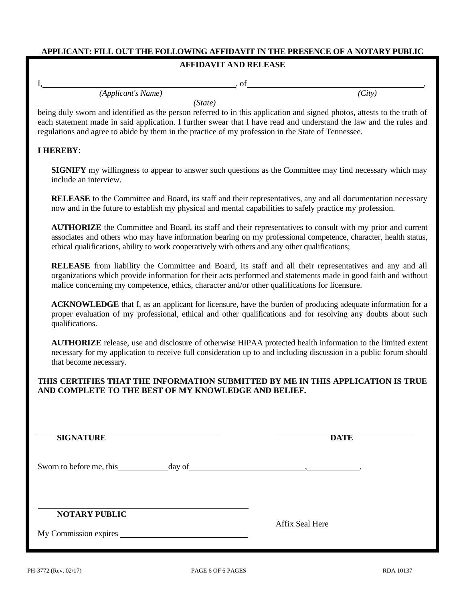# **APPLICANT: FILL OUT THE FOLLOWING AFFIDAVIT IN THE PRESENCE OF A NOTARY PUBLIC**

## **AFFIDAVIT AND RELEASE**

 $I,$  , of , of , and  $I,$  , of , and  $I,$  and  $I,$  and  $I,$  and  $I,$  and  $I,$  and  $I,$  and  $I,$  and  $I,$  and  $I,$  and  $I,$  and  $I,$  and  $I,$  and  $I,$  and  $I,$  and  $I,$  and  $I,$  and  $I,$  and  $I,$  and  $I,$  and  $I,$  and  $I,$ 

*(Applicant's Name) (City)*

*(State)*

being duly sworn and identified as the person referred to in this application and signed photos, attests to the truth of each statement made in said application. I further swear that I have read and understand the law and the rules and regulations and agree to abide by them in the practice of my profession in the State of Tennessee.

## **I HEREBY**:

**SIGNIFY** my willingness to appear to answer such questions as the Committee may find necessary which may include an interview.

**RELEASE** to the Committee and Board, its staff and their representatives, any and all documentation necessary now and in the future to establish my physical and mental capabilities to safely practice my profession.

**AUTHORIZE** the Committee and Board, its staff and their representatives to consult with my prior and current associates and others who may have information bearing on my professional competence, character, health status, ethical qualifications, ability to work cooperatively with others and any other qualifications;

**RELEASE** from liability the Committee and Board, its staff and all their representatives and any and all organizations which provide information for their acts performed and statements made in good faith and without malice concerning my competence, ethics, character and/or other qualifications for licensure.

**ACKNOWLEDGE** that I, as an applicant for licensure, have the burden of producing adequate information for a proper evaluation of my professional, ethical and other qualifications and for resolving any doubts about such qualifications.

**AUTHORIZE** release, use and disclosure of otherwise HIPAA protected health information to the limited extent necessary for my application to receive full consideration up to and including discussion in a public forum should that become necessary.

## **THIS CERTIFIES THAT THE INFORMATION SUBMITTED BY ME IN THIS APPLICATION IS TRUE AND COMPLETE TO THE BEST OF MY KNOWLEDGE AND BELIEF.**

|                       | и производство по предлагателя с производство на применение с производство на применение с применение с примен<br>В село в село в село в село в село в село в село в село в село в село в село в село в село в село в село в сел |
|-----------------------|----------------------------------------------------------------------------------------------------------------------------------------------------------------------------------------------------------------------------------|
| <b>NOTARY PUBLIC</b>  |                                                                                                                                                                                                                                  |
| My Commission expires | <b>Affix Seal Here</b>                                                                                                                                                                                                           |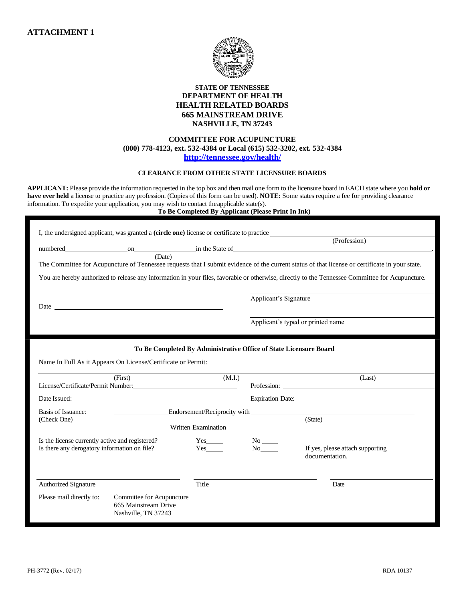

### **STATE OF TENNESSEE DEPARTMENT OF HEALTH HEALTH RELATED BOARDS 665 MAINSTREAM DRIVE NASHVILLE, TN 37243**

### **COMMITTEE FOR ACUPUNCTURE (800) 778-4123, ext. 532-4384 or Local (615) 532-3202, ext. 532-4384 <http://tennessee.gov/health/>**

#### **CLEARANCE FROM OTHER STATE LICENSURE BOARDS**

**APPLICANT:** Please provide the information requested in the top box and then mail one form to the licensure board in EACH state where you **hold or have ever held** a license to practice any profession. (Copies of this form can be used). **NOTE:** Some states require a fee for providing clearance information. To expedite your application, you may wish to contact theapplicable state(s).

#### **To Be Completed By Applicant (Please Print In Ink)**

| I, the undersigned applicant, was granted a <b>(circle one)</b> license or certificate to practice |                                                                          |                                                                   |                                                                                                                                                                                                                                   |                                                                                                                                                                                                                                |
|----------------------------------------------------------------------------------------------------|--------------------------------------------------------------------------|-------------------------------------------------------------------|-----------------------------------------------------------------------------------------------------------------------------------------------------------------------------------------------------------------------------------|--------------------------------------------------------------------------------------------------------------------------------------------------------------------------------------------------------------------------------|
|                                                                                                    |                                                                          |                                                                   |                                                                                                                                                                                                                                   | (Profession)                                                                                                                                                                                                                   |
|                                                                                                    | (Date)                                                                   |                                                                   |                                                                                                                                                                                                                                   |                                                                                                                                                                                                                                |
|                                                                                                    |                                                                          |                                                                   |                                                                                                                                                                                                                                   | The Committee for Acupuncture of Tennessee requests that I submit evidence of the current status of that license or certificate in your state.                                                                                 |
|                                                                                                    |                                                                          |                                                                   |                                                                                                                                                                                                                                   | You are hereby authorized to release any information in your files, favorable or otherwise, directly to the Tennessee Committee for Acupuncture.                                                                               |
| Date _                                                                                             |                                                                          |                                                                   | Applicant's Signature                                                                                                                                                                                                             |                                                                                                                                                                                                                                |
|                                                                                                    |                                                                          |                                                                   |                                                                                                                                                                                                                                   | Applicant's typed or printed name                                                                                                                                                                                              |
|                                                                                                    |                                                                          |                                                                   |                                                                                                                                                                                                                                   |                                                                                                                                                                                                                                |
|                                                                                                    |                                                                          | To Be Completed By Administrative Office of State Licensure Board |                                                                                                                                                                                                                                   |                                                                                                                                                                                                                                |
| Name In Full As it Appears On License/Certificate or Permit:                                       |                                                                          |                                                                   |                                                                                                                                                                                                                                   |                                                                                                                                                                                                                                |
|                                                                                                    | (First)                                                                  | (M.I.)                                                            |                                                                                                                                                                                                                                   | (Last)                                                                                                                                                                                                                         |
| Date Issued:                                                                                       |                                                                          |                                                                   |                                                                                                                                                                                                                                   |                                                                                                                                                                                                                                |
| <b>Basis of Issuance:</b>                                                                          |                                                                          |                                                                   |                                                                                                                                                                                                                                   | Endorsement/Reciprocity with the contract of the contract of the contract of the contract of the contract of the contract of the contract of the contract of the contract of the contract of the contract of the contract of t |
| (Check One)                                                                                        |                                                                          | Virtue Examination                                                |                                                                                                                                                                                                                                   | (State)                                                                                                                                                                                                                        |
| Is the license currently active and registered?                                                    |                                                                          | $Yes$ <sub>_______</sub>                                          | $No$ <sub>____</sub>                                                                                                                                                                                                              |                                                                                                                                                                                                                                |
| Is there any derogatory information on file?                                                       |                                                                          | Yes                                                               | No new years of the New York of the New York of the New York of the New York of the New York of the New York o<br>New York of the New York of the New York of the New York of the New York of the New York of the New York of the | If yes, please attach supporting<br>documentation.                                                                                                                                                                             |
|                                                                                                    |                                                                          |                                                                   |                                                                                                                                                                                                                                   |                                                                                                                                                                                                                                |
| <b>Authorized Signature</b>                                                                        |                                                                          | Title                                                             |                                                                                                                                                                                                                                   | Date                                                                                                                                                                                                                           |
| Please mail directly to:                                                                           | Committee for Acupuncture<br>665 Mainstream Drive<br>Nashville, TN 37243 |                                                                   |                                                                                                                                                                                                                                   |                                                                                                                                                                                                                                |